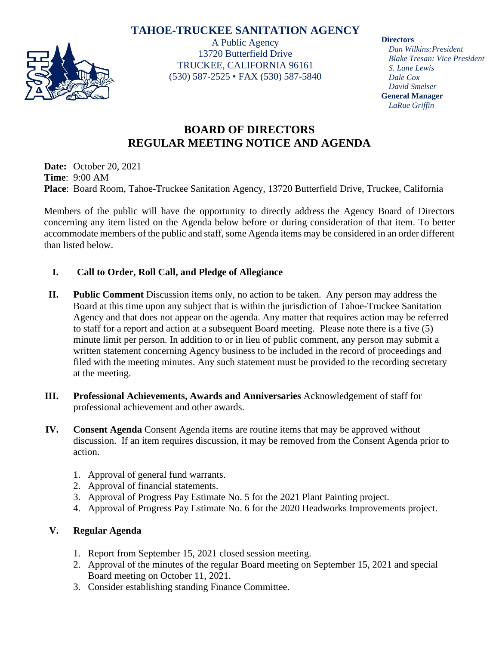## **TAHOE-TRUCKEE SANITATION AGENCY**



A Public Agency 13720 Butterfield Drive TRUCKEE, CALIFORNIA 96161 (530) 587-2525 • FAX (530) 587-5840 **Directors**

*Dan Wilkins:President Blake Tresan: Vice President S. Lane Lewis Dale Cox David Smelser* **General Manager** *LaRue Griffin*

# **BOARD OF DIRECTORS REGULAR MEETING NOTICE AND AGENDA**

**Date:** October 20, 2021 **Time**: 9:00 AM **Place**: Board Room, Tahoe-Truckee Sanitation Agency, 13720 Butterfield Drive, Truckee, California

Members of the public will have the opportunity to directly address the Agency Board of Directors concerning any item listed on the Agenda below before or during consideration of that item. To better accommodate members of the public and staff, some Agenda items may be considered in an order different than listed below.

## **I. Call to Order, Roll Call, and Pledge of Allegiance**

- **II. Public Comment** Discussion items only, no action to be taken. Any person may address the Board at this time upon any subject that is within the jurisdiction of Tahoe-Truckee Sanitation Agency and that does not appear on the agenda. Any matter that requires action may be referred to staff for a report and action at a subsequent Board meeting. Please note there is a five (5) minute limit per person. In addition to or in lieu of public comment, any person may submit a written statement concerning Agency business to be included in the record of proceedings and filed with the meeting minutes. Any such statement must be provided to the recording secretary at the meeting.
- **III. Professional Achievements, Awards and Anniversaries** Acknowledgement of staff for professional achievement and other awards.
- **IV. Consent Agenda** Consent Agenda items are routine items that may be approved without discussion. If an item requires discussion, it may be removed from the Consent Agenda prior to action.
	- 1. Approval of general fund warrants.
	- 2. Approval of financial statements.
	- 3. Approval of Progress Pay Estimate No. 5 for the 2021 Plant Painting project.
	- 4. Approval of Progress Pay Estimate No. 6 for the 2020 Headworks Improvements project.

## **V. Regular Agenda**

- 1. Report from September 15, 2021 closed session meeting.
- 2. Approval of the minutes of the regular Board meeting on September 15, 2021 and special Board meeting on October 11, 2021.
- 3. Consider establishing standing Finance Committee.